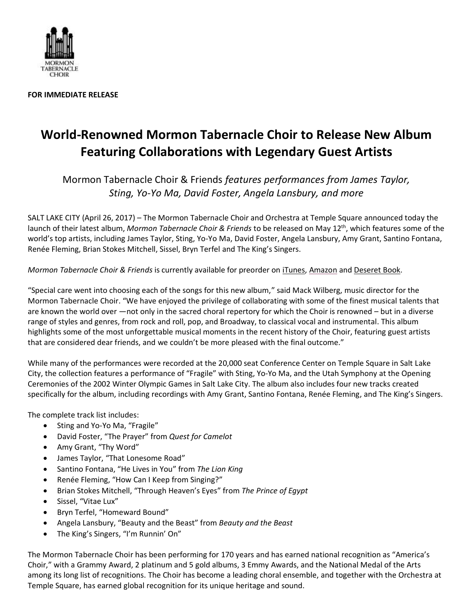

**FOR IMMEDIATE RELEASE**

## **World-Renowned Mormon Tabernacle Choir to Release New Album Featuring Collaborations with Legendary Guest Artists**

Mormon Tabernacle Choir & Friends *features performances from James Taylor, Sting, Yo-Yo Ma, David Foster, Angela Lansbury, and more*

SALT LAKE CITY (April 26, 2017) – The Mormon Tabernacle Choir and Orchestra at Temple Square announced today the launch of their latest album, Mormon Tabernacle Choir & Friends to be released on May 12<sup>th</sup>, which features some of the world's top artists, including James Taylor, Sting, Yo-Yo Ma, David Foster, Angela Lansbury, Amy Grant, Santino Fontana, Renée Fleming, Brian Stokes Mitchell, Sissel, Bryn Terfel and The King's Singers.

*Mormon Tabernacle Choir & Friends* is currently available for preorder on [iTunes,](mailto:https://geo.itunes.apple.com/us/album/mormon-tabernacle-choir-friends/id1224740304%3Fapp=itunes) [Amazon](https://www.amazon.com/Mormon-Tabernacle-Choir-Friends/dp/B06XHHYQPJ/ref=sr_1_1?ie=UTF8&qid=1491676785&sr=8-1&keywords=mormon+tabernacle+choir+and+friends) and [Deseret Book.](https://deseretbook.com/p/mormon-tabernacle-choir-and-friends?variant_id=114588-cd)

"Special care went into choosing each of the songs for this new album," said Mack Wilberg, music director for the Mormon Tabernacle Choir. "We have enjoyed the privilege of collaborating with some of the finest musical talents that are known the world over —not only in the sacred choral repertory for which the Choir is renowned – but in a diverse range of styles and genres, from rock and roll, pop, and Broadway, to classical vocal and instrumental. This album highlights some of the most unforgettable musical moments in the recent history of the Choir, featuring guest artists that are considered dear friends, and we couldn't be more pleased with the final outcome."

While many of the performances were recorded at the 20,000 seat Conference Center on Temple Square in Salt Lake City, the collection features a performance of "Fragile" with Sting, Yo-Yo Ma, and the Utah Symphony at the Opening Ceremonies of the 2002 Winter Olympic Games in Salt Lake City. The album also includes four new tracks created specifically for the album, including recordings with Amy Grant, Santino Fontana, Renée Fleming, and The King's Singers.

The complete track list includes:

- Sting and Yo-Yo Ma, "Fragile"
- David Foster, "The Prayer" from *Quest for Camelot*
- Amy Grant, "Thy Word"
- James Taylor, "That Lonesome Road"
- Santino Fontana, "He Lives in You" from *The Lion King*
- Renée Fleming, "How Can I Keep from Singing?"
- Brian Stokes Mitchell, "Through Heaven's Eyes" from *The Prince of Egypt*
- Sissel, "Vitae Lux"
- Bryn Terfel, "Homeward Bound"
- Angela Lansbury, "Beauty and the Beast" from *Beauty and the Beast*
- The King's Singers, "I'm Runnin' On"

The Mormon Tabernacle Choir has been performing for 170 years and has earned national recognition as "America's Choir," with a Grammy Award, 2 platinum and 5 gold albums, 3 Emmy Awards, and the National Medal of the Arts among its long list of recognitions. The Choir has become a leading choral ensemble, and together with the Orchestra at Temple Square, has earned global recognition for its unique heritage and sound.